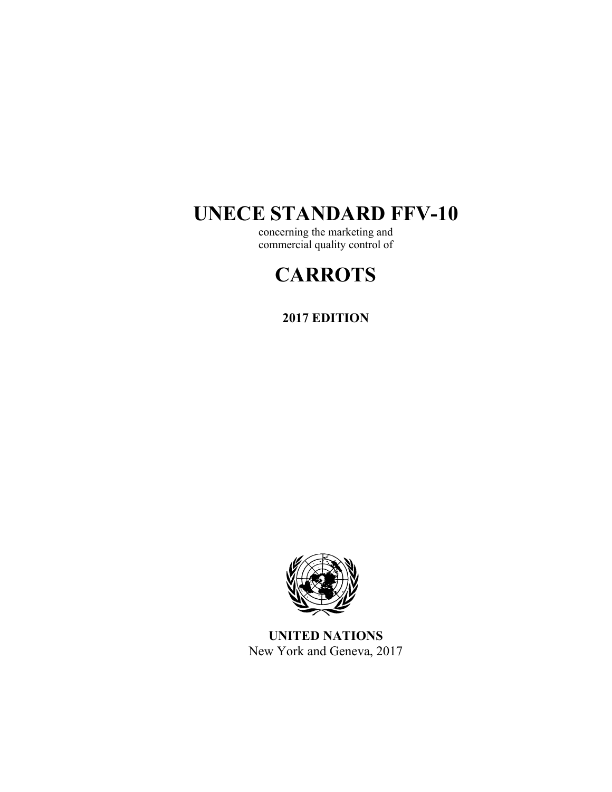# **UNECE STANDARD FFV-10**

concerning the marketing and commercial quality control of

# **CARROTS**

**2017 EDITION** 



**UNITED NATIONS**  New York and Geneva, 2017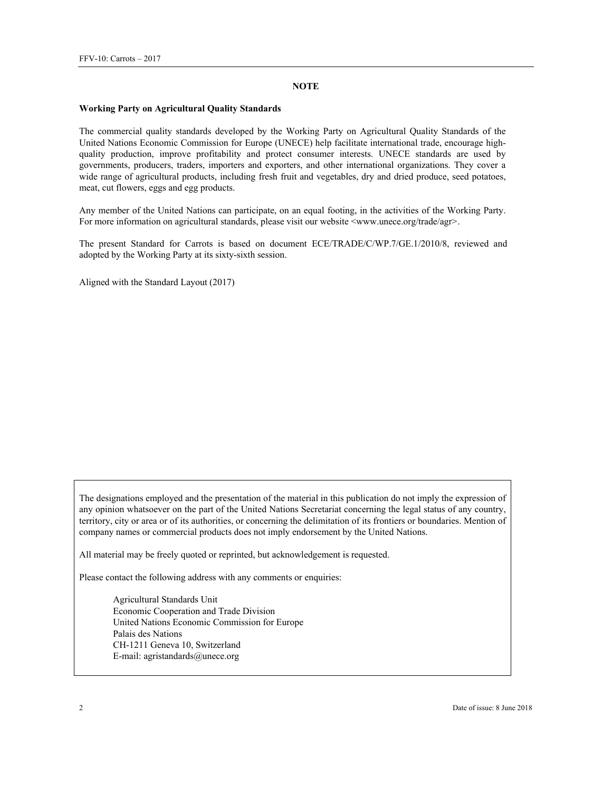#### **NOTE**

#### **Working Party on Agricultural Quality Standards**

The commercial quality standards developed by the Working Party on Agricultural Quality Standards of the United Nations Economic Commission for Europe (UNECE) help facilitate international trade, encourage highquality production, improve profitability and protect consumer interests. UNECE standards are used by governments, producers, traders, importers and exporters, and other international organizations. They cover a wide range of agricultural products, including fresh fruit and vegetables, dry and dried produce, seed potatoes, meat, cut flowers, eggs and egg products.

Any member of the United Nations can participate, on an equal footing, in the activities of the Working Party. For more information on agricultural standards, please visit our website <www.unece.org/trade/agr>.

The present Standard for Carrots is based on document ECE/TRADE/C/WP.7/GE.1/2010/8, reviewed and adopted by the Working Party at its sixty-sixth session.

Aligned with the Standard Layout (2017)

The designations employed and the presentation of the material in this publication do not imply the expression of any opinion whatsoever on the part of the United Nations Secretariat concerning the legal status of any country, territory, city or area or of its authorities, or concerning the delimitation of its frontiers or boundaries. Mention of company names or commercial products does not imply endorsement by the United Nations.

All material may be freely quoted or reprinted, but acknowledgement is requested.

Please contact the following address with any comments or enquiries:

Agricultural Standards Unit Economic Cooperation and Trade Division United Nations Economic Commission for Europe Palais des Nations CH-1211 Geneva 10, Switzerland E-mail: agristandards@unece.org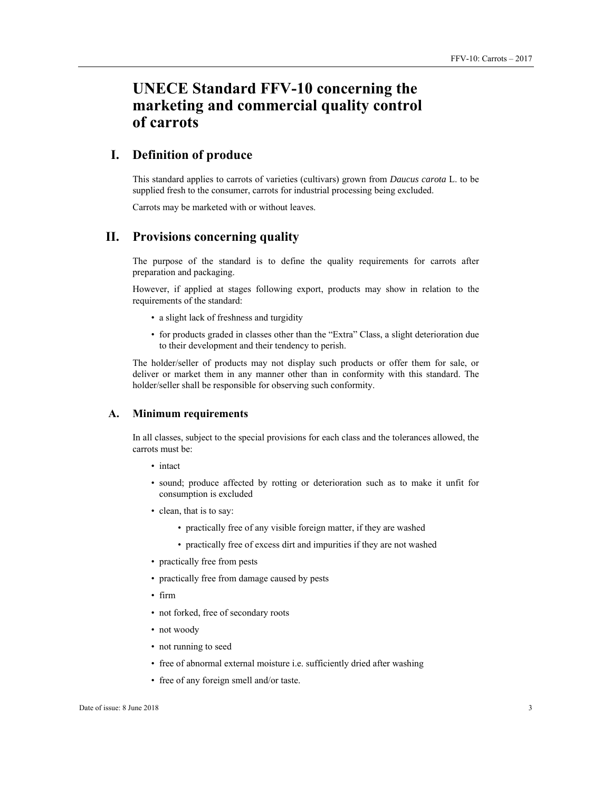# **UNECE Standard FFV-10 concerning the marketing and commercial quality control of carrots**

# **I. Definition of produce**

This standard applies to carrots of varieties (cultivars) grown from *Daucus carota* L. to be supplied fresh to the consumer, carrots for industrial processing being excluded.

Carrots may be marketed with or without leaves.

## **II. Provisions concerning quality**

The purpose of the standard is to define the quality requirements for carrots after preparation and packaging.

However, if applied at stages following export, products may show in relation to the requirements of the standard:

- a slight lack of freshness and turgidity
- for products graded in classes other than the "Extra" Class, a slight deterioration due to their development and their tendency to perish.

The holder/seller of products may not display such products or offer them for sale, or deliver or market them in any manner other than in conformity with this standard. The holder/seller shall be responsible for observing such conformity.

#### **A. Minimum requirements**

In all classes, subject to the special provisions for each class and the tolerances allowed, the carrots must be:

- intact
- sound; produce affected by rotting or deterioration such as to make it unfit for consumption is excluded
- clean, that is to say:
	- practically free of any visible foreign matter, if they are washed
	- practically free of excess dirt and impurities if they are not washed
- practically free from pests
- practically free from damage caused by pests
- firm
- not forked, free of secondary roots
- not woody
- not running to seed
- free of abnormal external moisture i.e. sufficiently dried after washing
- free of any foreign smell and/or taste.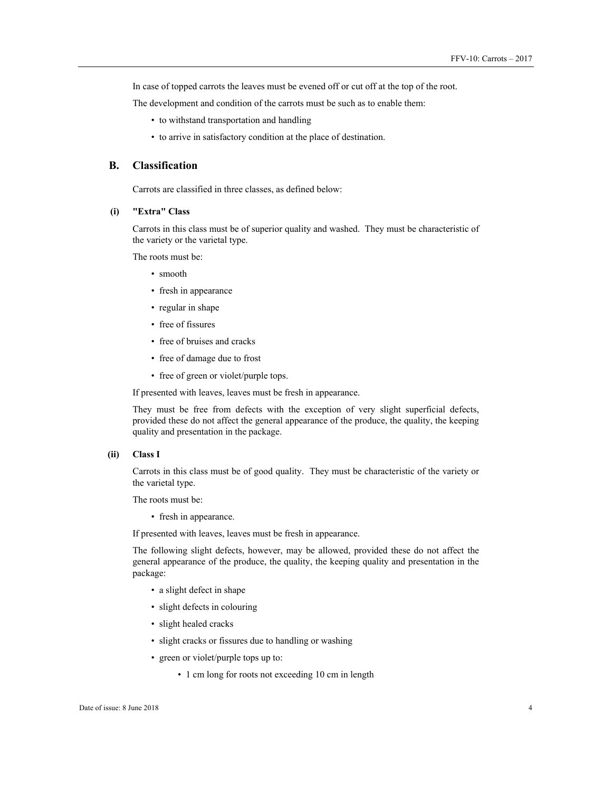In case of topped carrots the leaves must be evened off or cut off at the top of the root.

The development and condition of the carrots must be such as to enable them:

- to withstand transportation and handling
- to arrive in satisfactory condition at the place of destination.

#### **B. Classification**

Carrots are classified in three classes, as defined below:

#### **(i) "Extra" Class**

Carrots in this class must be of superior quality and washed. They must be characteristic of the variety or the varietal type.

The roots must be:

- smooth
- fresh in appearance
- regular in shape
- free of fissures
- free of bruises and cracks
- free of damage due to frost
- free of green or violet/purple tops.

If presented with leaves, leaves must be fresh in appearance.

They must be free from defects with the exception of very slight superficial defects, provided these do not affect the general appearance of the produce, the quality, the keeping quality and presentation in the package.

#### **(ii) Class I**

Carrots in this class must be of good quality. They must be characteristic of the variety or the varietal type.

The roots must be:

• fresh in appearance.

If presented with leaves, leaves must be fresh in appearance.

The following slight defects, however, may be allowed, provided these do not affect the general appearance of the produce, the quality, the keeping quality and presentation in the package:

- a slight defect in shape
- slight defects in colouring
- slight healed cracks
- slight cracks or fissures due to handling or washing
- green or violet/purple tops up to:
	- 1 cm long for roots not exceeding 10 cm in length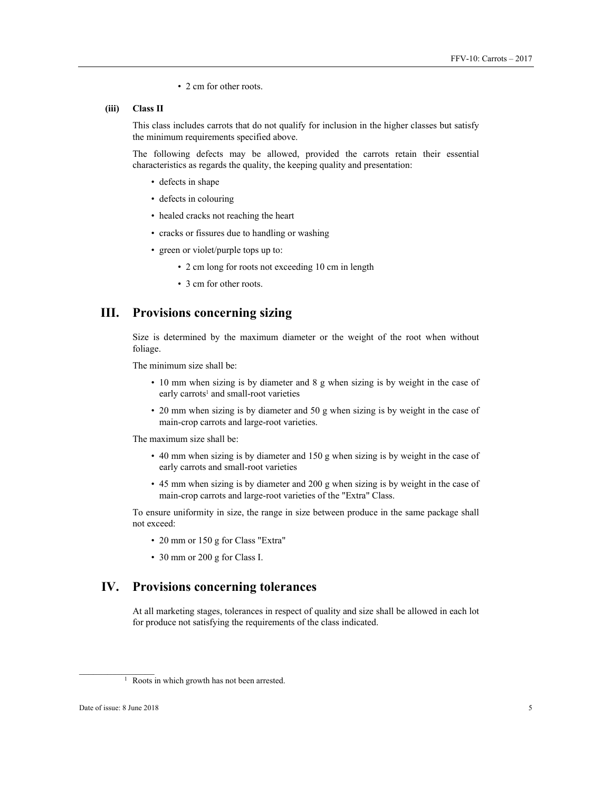• 2 cm for other roots.

#### **(iii) Class II**

This class includes carrots that do not qualify for inclusion in the higher classes but satisfy the minimum requirements specified above.

The following defects may be allowed, provided the carrots retain their essential characteristics as regards the quality, the keeping quality and presentation:

- defects in shape
- defects in colouring
- healed cracks not reaching the heart
- cracks or fissures due to handling or washing
- green or violet/purple tops up to:
	- 2 cm long for roots not exceeding 10 cm in length
	- 3 cm for other roots.

# **III. Provisions concerning sizing**

Size is determined by the maximum diameter or the weight of the root when without foliage.

The minimum size shall be:

- 10 mm when sizing is by diameter and 8 g when sizing is by weight in the case of early carrots<sup>1</sup> and small-root varieties
- 20 mm when sizing is by diameter and 50 g when sizing is by weight in the case of main-crop carrots and large-root varieties.

The maximum size shall be:

- 40 mm when sizing is by diameter and 150 g when sizing is by weight in the case of early carrots and small-root varieties
- 45 mm when sizing is by diameter and 200 g when sizing is by weight in the case of main-crop carrots and large-root varieties of the "Extra" Class.

To ensure uniformity in size, the range in size between produce in the same package shall not exceed:

- 20 mm or 150 g for Class "Extra"
- 30 mm or 200 g for Class I.

# **IV. Provisions concerning tolerances**

At all marketing stages, tolerances in respect of quality and size shall be allowed in each lot for produce not satisfying the requirements of the class indicated.

 $\frac{1}{1}$  Roots in which growth has not been arrested.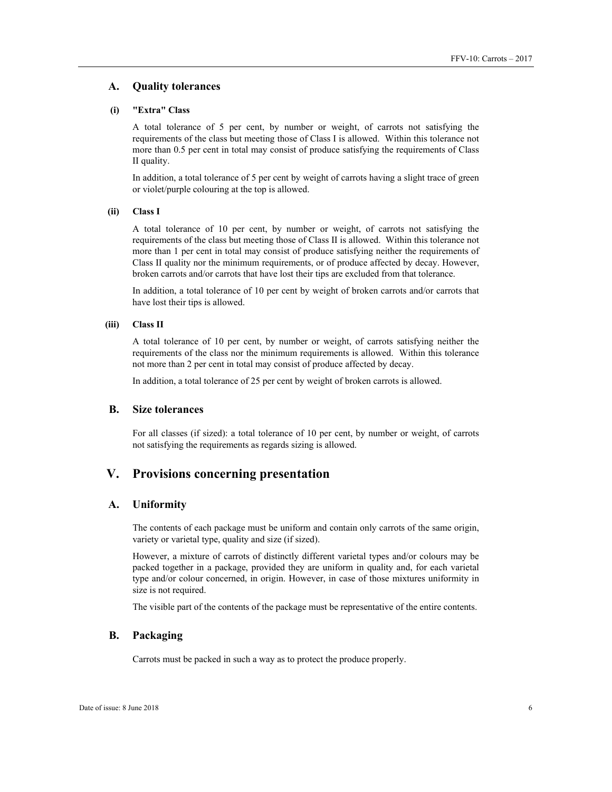#### **A. Quality tolerances**

#### **(i) "Extra" Class**

A total tolerance of 5 per cent, by number or weight, of carrots not satisfying the requirements of the class but meeting those of Class I is allowed. Within this tolerance not more than 0.5 per cent in total may consist of produce satisfying the requirements of Class II quality.

In addition, a total tolerance of 5 per cent by weight of carrots having a slight trace of green or violet/purple colouring at the top is allowed.

#### **(ii) Class I**

A total tolerance of 10 per cent, by number or weight, of carrots not satisfying the requirements of the class but meeting those of Class II is allowed. Within this tolerance not more than 1 per cent in total may consist of produce satisfying neither the requirements of Class II quality nor the minimum requirements, or of produce affected by decay. However, broken carrots and/or carrots that have lost their tips are excluded from that tolerance.

In addition, a total tolerance of 10 per cent by weight of broken carrots and/or carrots that have lost their tips is allowed.

#### **(iii) Class II**

A total tolerance of 10 per cent, by number or weight, of carrots satisfying neither the requirements of the class nor the minimum requirements is allowed. Within this tolerance not more than 2 per cent in total may consist of produce affected by decay.

In addition, a total tolerance of 25 per cent by weight of broken carrots is allowed.

## **B. Size tolerances**

For all classes (if sized): a total tolerance of 10 per cent, by number or weight, of carrots not satisfying the requirements as regards sizing is allowed.

# **V. Provisions concerning presentation**

#### **A. Uniformity**

The contents of each package must be uniform and contain only carrots of the same origin, variety or varietal type, quality and size (if sized).

However, a mixture of carrots of distinctly different varietal types and/or colours may be packed together in a package, provided they are uniform in quality and, for each varietal type and/or colour concerned, in origin. However, in case of those mixtures uniformity in size is not required.

The visible part of the contents of the package must be representative of the entire contents.

#### **B. Packaging**

Carrots must be packed in such a way as to protect the produce properly.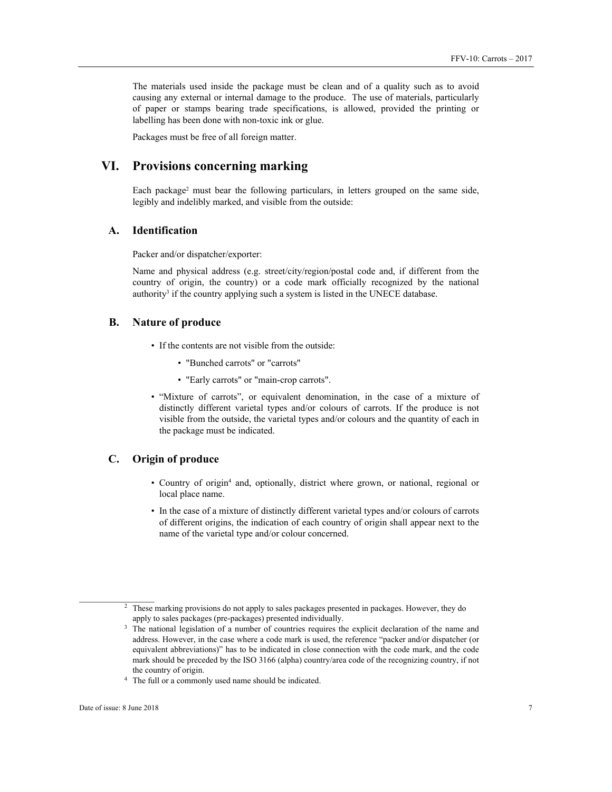The materials used inside the package must be clean and of a quality such as to avoid causing any external or internal damage to the produce. The use of materials, particularly of paper or stamps bearing trade specifications, is allowed, provided the printing or labelling has been done with non-toxic ink or glue.

Packages must be free of all foreign matter.

## **VI. Provisions concerning marking**

Each package<sup>2</sup> must bear the following particulars, in letters grouped on the same side, legibly and indelibly marked, and visible from the outside:

## **A. Identification**

Packer and/or dispatcher/exporter:

Name and physical address (e.g. street/city/region/postal code and, if different from the country of origin, the country) or a code mark officially recognized by the national authority<sup>3</sup> if the country applying such a system is listed in the UNECE database.

## **B. Nature of produce**

- If the contents are not visible from the outside:
	- "Bunched carrots" or "carrots"
	- "Early carrots" or "main-crop carrots".
- "Mixture of carrots", or equivalent denomination, in the case of a mixture of distinctly different varietal types and/or colours of carrots. If the produce is not visible from the outside, the varietal types and/or colours and the quantity of each in the package must be indicated.

## **C. Origin of produce**

- Country of origin<sup>4</sup> and, optionally, district where grown, or national, regional or local place name.
- In the case of a mixture of distinctly different varietal types and/or colours of carrots of different origins, the indication of each country of origin shall appear next to the name of the varietal type and/or colour concerned.

<sup>&</sup>lt;sup>2</sup> These marking provisions do not apply to sales packages presented in packages. However, they do apply to sales packages (pre-packages) presented individually.<br><sup>3</sup> The national legislation of a number of countries requires the explicit declaration of the name and

address. However, in the case where a code mark is used, the reference "packer and/or dispatcher (or equivalent abbreviations)" has to be indicated in close connection with the code mark, and the code mark should be preceded by the ISO 3166 (alpha) country/area code of the recognizing country, if not the country of origin.<br><sup>4</sup> The full or a commonly used name should be indicated.